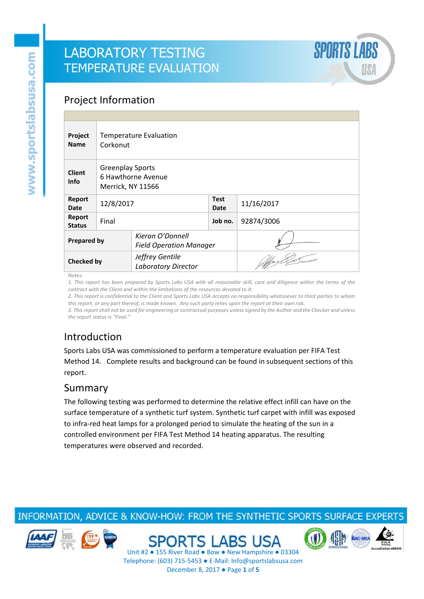

### Project Information

| Project<br><b>Name</b>       | Corkonut                                                           | <b>Temperature Evaluation</b>                      |                     |            |  |  |  |  |
|------------------------------|--------------------------------------------------------------------|----------------------------------------------------|---------------------|------------|--|--|--|--|
| <b>Client</b><br><b>Info</b> | <b>Greenplay Sports</b><br>6 Hawthorne Avenue<br>Merrick, NY 11566 |                                                    |                     |            |  |  |  |  |
| Report<br>Date               | 12/8/2017                                                          |                                                    | <b>Test</b><br>Date | 11/16/2017 |  |  |  |  |
| Report<br><b>Status</b>      | Final                                                              |                                                    | Job no.             | 92874/3006 |  |  |  |  |
| <b>Prepared by</b>           |                                                                    | Kieran O'Donnell<br><b>Field Operation Manager</b> |                     |            |  |  |  |  |
| <b>Checked by</b>            |                                                                    | Jeffrey Gentile<br><b>Laboratory Director</b>      |                     | May 2      |  |  |  |  |

*Notes:*

*1. This report has been prepared by Sports Labs USA with all reasonable skill, care and diligence within the terms of the contract with the Client and within the limitations of the resources devoted to it.*

*2. This report is confidential to the Client and Sports Labs USA accepts no responsibility whatsoever to third parties to whom this report, or any part thereof, is made known. Any such party relies upon the report at their own risk.*

*3. This report shall not be used for engineering or contractual purposes unless signed by the Author and the Checker and unless the report status is "Final."*

### Introduction

Sports Labs USA was commissioned to perform a temperature evaluation per FIFA Test Method 14. Complete results and background can be found in subsequent sections of this report.

#### Summary

The following testing was performed to determine the relative effect infill can have on the surface temperature of a synthetic turf system. Synthetic turf carpet with infill was exposed to infra-red heat lamps for a prolonged period to simulate the heating of the sun in a controlled environment per FIFA Test Method 14 heating apparatus. The resulting temperatures were observed and recorded.

### INFORMATION, ADVICE & KNOW-HOW: FROM THE SYNTHETIC SPORTS SURFACE EXPERTS







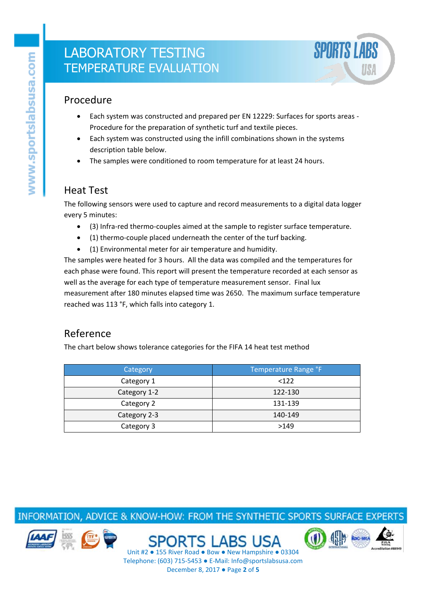

#### Procedure

- Each system was constructed and prepared per EN 12229: Surfaces for sports areas Procedure for the preparation of synthetic turf and textile pieces.
- Each system was constructed using the infill combinations shown in the systems description table below.
- The samples were conditioned to room temperature for at least 24 hours.

#### Heat Test

The following sensors were used to capture and record measurements to a digital data logger every 5 minutes:

- (3) Infra-red thermo-couples aimed at the sample to register surface temperature.
- (1) thermo-couple placed underneath the center of the turf backing.
- (1) Environmental meter for air temperature and humidity.

The samples were heated for 3 hours. All the data was compiled and the temperatures for each phase were found. This report will present the temperature recorded at each sensor as well as the average for each type of temperature measurement sensor. Final lux measurement after 180 minutes elapsed time was 2650. The maximum surface temperature reached was 113 °F, which falls into category 1.

### Reference

The chart below shows tolerance categories for the FIFA 14 heat test method

| Category     | Temperature Range °F |  |  |
|--------------|----------------------|--|--|
| Category 1   | < 122                |  |  |
| Category 1-2 | 122-130              |  |  |
| Category 2   | 131-139              |  |  |
| Category 2-3 | 140-149              |  |  |
| Category 3   | >149                 |  |  |

INFORMATION, ADVICE & KNOW-HOW: FROM THE SYNTHETIC SPORTS SURFACE EXPERTS



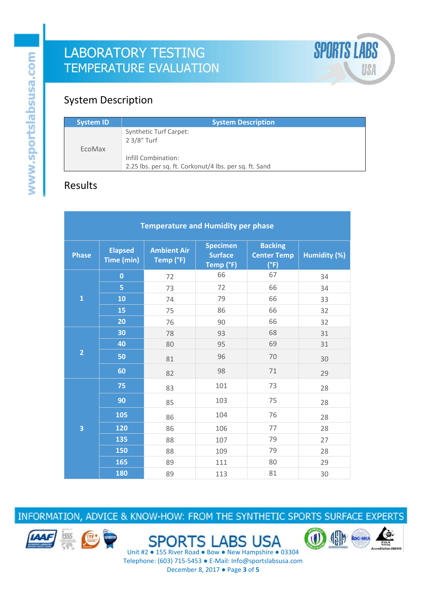

4 lily Roche

 $PJLA$ Accreditation #88949

**(1)** 

### System Description

| <b>System ID</b> | <b>System Description</b>                                                     |  |  |
|------------------|-------------------------------------------------------------------------------|--|--|
| EcoMax           | <b>Synthetic Turf Carpet:</b><br>2 3/8" Turf                                  |  |  |
|                  | Infill Combination:<br>2.25 lbs. per sq. ft. Corkonut/4 lbs. per sq. ft. Sand |  |  |

## Results

| <b>Temperature and Humidity per phase</b> |                              |                                 |                                                |                                              |              |  |  |  |  |
|-------------------------------------------|------------------------------|---------------------------------|------------------------------------------------|----------------------------------------------|--------------|--|--|--|--|
| <b>Phase</b>                              | <b>Elapsed</b><br>Time (min) | <b>Ambient Air</b><br>Temp (°F) | <b>Specimen</b><br><b>Surface</b><br>Temp (°F) | <b>Backing</b><br><b>Center Temp</b><br>(°F) | Humidity (%) |  |  |  |  |
| $\mathbf 1$                               | $\bf{0}$                     | 72                              | 66                                             | 67                                           | 34           |  |  |  |  |
|                                           | $\overline{5}$               | 73                              | 72                                             | 66                                           | 34           |  |  |  |  |
|                                           | 10                           | 74                              | 79                                             | 66                                           | 33           |  |  |  |  |
|                                           | 15                           | 75                              | 86                                             | 66                                           | 32           |  |  |  |  |
|                                           | 20                           | 76                              | 90                                             | 66                                           | 32           |  |  |  |  |
| $\overline{2}$                            | 30                           | 78                              | 93                                             | 68                                           | 31           |  |  |  |  |
|                                           | 40                           | 80                              | 95                                             | 69                                           | 31           |  |  |  |  |
|                                           | 50                           | 81                              | 96                                             | 70                                           | 30           |  |  |  |  |
|                                           | 60                           | 82                              | 98                                             | 71                                           | 29           |  |  |  |  |
| 3                                         | 75                           | 83                              | 101                                            | 73                                           | 28           |  |  |  |  |
|                                           | 90                           | 85                              | 103                                            | 75                                           | 28           |  |  |  |  |
|                                           | 105                          | 86                              | 104                                            | 76                                           | 28           |  |  |  |  |
|                                           | 120                          | 86                              | 106                                            | 77                                           | 28           |  |  |  |  |
|                                           | 135                          | 88                              | 107                                            | 79                                           | 27           |  |  |  |  |
|                                           | 150                          | 88                              | 109                                            | 79                                           | 28           |  |  |  |  |
|                                           | 165                          | 89                              | 111                                            | 80                                           | 29           |  |  |  |  |
|                                           | 180                          | 89                              | 113                                            | 81                                           | 30           |  |  |  |  |

INFORMATION, ADVICE & KNOW-HOW: FROM THE SYNTHETIC SPORTS SURFACE EXPERTS

Unit #2 ● 155 River Road ● Bow ● New Hampshire ● 03304 Telephone: (603) 715-5453 ● E-Mail: Info@sportslabsusa.com December 8, 2017 ● Page **3** of **5**

**SPORTS LABS USA** 

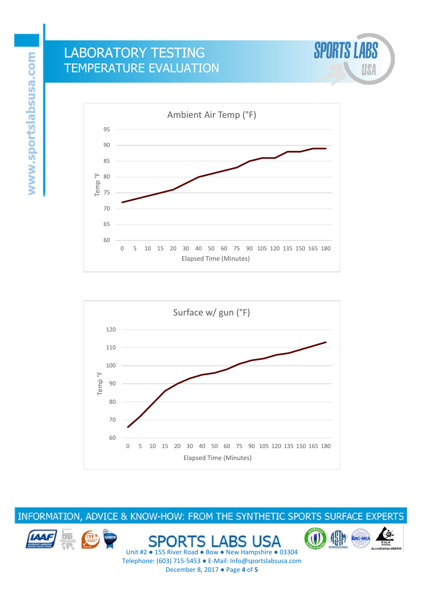





INFORMATION, ADVICE & KNOW-HOW: FROM THE SYNTHETIC SPORTS SURFACE EXPERTS



www.sportslabsusa.com



**SP** В Unit #2 ● 155 River Road ● Bow ● New Hampshire ● 03304 Telephone: (603) 715-5453 ● E-Mail: Info@sportslabsusa.com December 8, 2017 ● Page **4** of **5**